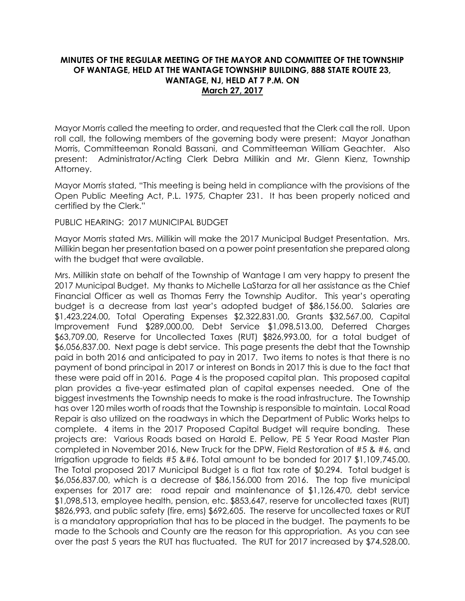## **MINUTES OF THE REGULAR MEETING OF THE MAYOR AND COMMITTEE OF THE TOWNSHIP OF WANTAGE, HELD AT THE WANTAGE TOWNSHIP BUILDING, 888 STATE ROUTE 23, WANTAGE, NJ, HELD AT 7 P.M. ON March 27, 2017**

Mayor Morris called the meeting to order, and requested that the Clerk call the roll. Upon roll call, the following members of the governing body were present: Mayor Jonathan Morris, Committeeman Ronald Bassani, and Committeeman William Geachter. Also present: Administrator/Acting Clerk Debra Millikin and Mr. Glenn Kienz, Township Attorney.

Mayor Morris stated, "This meeting is being held in compliance with the provisions of the Open Public Meeting Act, P.L. 1975, Chapter 231. It has been properly noticed and certified by the Clerk."

PUBLIC HEARING: 2017 MUNICIPAL BUDGET

Mayor Morris stated Mrs. Millikin will make the 2017 Municipal Budget Presentation. Mrs. Millikin began her presentation based on a power point presentation she prepared along with the budget that were available.

Mrs. Millikin state on behalf of the Township of Wantage I am very happy to present the 2017 Municipal Budget. My thanks to Michelle LaStarza for all her assistance as the Chief Financial Officer as well as Thomas Ferry the Township Auditor. This year's operating budget is a decrease from last year's adopted budget of \$86,156.00. Salaries are \$1,423,224.00, Total Operating Expenses \$2,322,831.00, Grants \$32,567.00, Capital Improvement Fund \$289,000.00, Debt Service \$1,098,513.00, Deferred Charges \$63,709.00, Reserve for Uncollected Taxes (RUT) \$826,993.00, for a total budget of \$6,056,837.00. Next page is debt service. This page presents the debt that the Township paid in both 2016 and anticipated to pay in 2017. Two items to notes is that there is no payment of bond principal in 2017 or interest on Bonds in 2017 this is due to the fact that these were paid off in 2016. Page 4 is the proposed capital plan. This proposed capital plan provides a five-year estimated plan of capital expenses needed. One of the biggest investments the Township needs to make is the road infrastructure. The Township has over 120 miles worth of roads that the Township is responsible to maintain. Local Road Repair is also utilized on the roadways in which the Department of Public Works helps to complete. 4 items in the 2017 Proposed Capital Budget will require bonding. These projects are: Various Roads based on Harold E. Pellow, PE 5 Year Road Master Plan completed in November 2016, New Truck for the DPW, Field Restoration of #5 & #6, and Irrigation upgrade to fields  $#5$  & $#6$ . Total amount to be bonded for 2017 \$1,109,745.00. The Total proposed 2017 Municipal Budget is a flat tax rate of \$0.294. Total budget is \$6,056,837.00, which is a decrease of \$86,156.000 from 2016. The top five municipal expenses for 2017 are: road repair and maintenance of \$1,126,470, debt service \$1,098,513, employee health, pension, etc. \$853,647, reserve for uncollected taxes (RUT) \$826,993, and public safety (fire, ems) \$692,605. The reserve for uncollected taxes or RUT is a mandatory appropriation that has to be placed in the budget. The payments to be made to the Schools and County are the reason for this appropriation. As you can see over the past 5 years the RUT has fluctuated. The RUT for 2017 increased by \$74,528.00.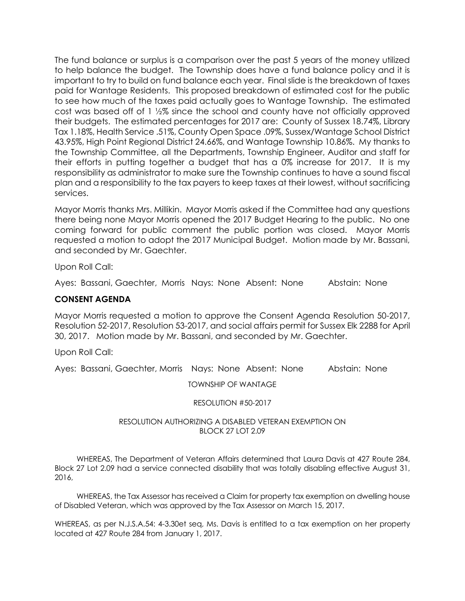The fund balance or surplus is a comparison over the past 5 years of the money utilized to help balance the budget. The Township does have a fund balance policy and it is important to try to build on fund balance each year. Final slide is the breakdown of taxes paid for Wantage Residents. This proposed breakdown of estimated cost for the public to see how much of the taxes paid actually goes to Wantage Township. The estimated cost was based off of 1 ½% since the school and county have not officially approved their budgets. The estimated percentages for 2017 are: County of Sussex 18.74%, Library Tax 1.18%, Health Service .51%, County Open Space .09%, Sussex/Wantage School District 43.95%, High Point Regional District 24.66%, and Wantage Township 10.86%. My thanks to the Township Committee, all the Departments, Township Engineer, Auditor and staff for their efforts in putting together a budget that has a 0% increase for 2017. It is my responsibility as administrator to make sure the Township continues to have a sound fiscal plan and a responsibility to the tax payers to keep taxes at their lowest, without sacrificing services.

Mayor Morris thanks Mrs. Millikin. Mayor Morris asked if the Committee had any questions there being none Mayor Morris opened the 2017 Budget Hearing to the public. No one coming forward for public comment the public portion was closed. Mayor Morris requested a motion to adopt the 2017 Municipal Budget. Motion made by Mr. Bassani, and seconded by Mr. Gaechter.

Upon Roll Call:

Ayes: Bassani, Gaechter, Morris Nays: None Absent: None Abstain: None

### **CONSENT AGENDA**

Mayor Morris requested a motion to approve the Consent Agenda Resolution 50-2017, Resolution 52-2017, Resolution 53-2017, and social affairs permit for Sussex Elk 2288 for April 30, 2017. Motion made by Mr. Bassani, and seconded by Mr. Gaechter.

Upon Roll Call:

Ayes: Bassani, Gaechter, Morris Nays: None Absent: None Abstain: None

TOWNSHIP OF WANTAGE

### RESOLUTION #50-2017

### RESOLUTION AUTHORIZING A DISABLED VETERAN EXEMPTION ON BLOCK 27 LOT 2.09

 WHEREAS, The Department of Veteran Affairs determined that Laura Davis at 427 Route 284, Block 27 Lot 2.09 had a service connected disability that was totally disabling effective August 31, 2016,

 WHEREAS, the Tax Assessor has received a Claim for property tax exemption on dwelling house of Disabled Veteran, which was approved by the Tax Assessor on March 15, 2017.

WHEREAS, as per N.J.S.A.54: 4-3.30et seq, Ms. Davis is entitled to a tax exemption on her property located at 427 Route 284 from January 1, 2017.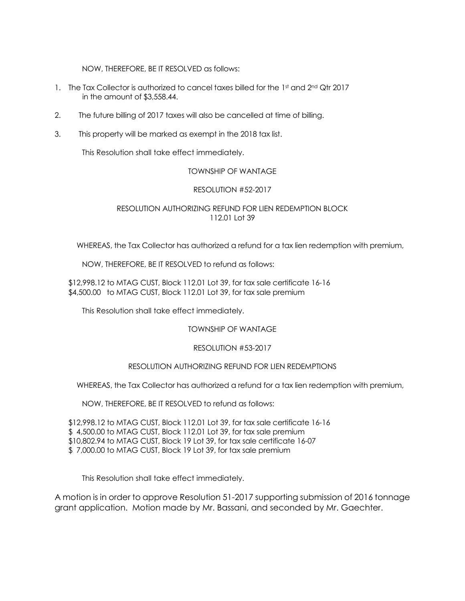NOW, THEREFORE, BE IT RESOLVED as follows:

- 1. The Tax Collector is authorized to cancel taxes billed for the 1st and 2nd Qtr 2017 in the amount of \$3,558.44.
- 2. The future billing of 2017 taxes will also be cancelled at time of billing.
- 3. This property will be marked as exempt in the 2018 tax list.

This Resolution shall take effect immediately.

### TOWNSHIP OF WANTAGE

#### RESOLUTION #52-2017

### RESOLUTION AUTHORIZING REFUND FOR LIEN REDEMPTION BLOCK 112.01 Lot 39

WHEREAS, the Tax Collector has authorized a refund for a tax lien redemption with premium,

NOW, THEREFORE, BE IT RESOLVED to refund as follows:

\$12,998.12 to MTAG CUST, Block 112.01 Lot 39, for tax sale certificate 16-16 \$4,500.00 to MTAG CUST, Block 112.01 Lot 39, for tax sale premium

This Resolution shall take effect immediately.

TOWNSHIP OF WANTAGE

#### RESOLUTION #53-2017

#### RESOLUTION AUTHORIZING REFUND FOR LIEN REDEMPTIONS

WHEREAS, the Tax Collector has authorized a refund for a tax lien redemption with premium,

NOW, THEREFORE, BE IT RESOLVED to refund as follows:

\$12,998.12 to MTAG CUST, Block 112.01 Lot 39, for tax sale certificate 16-16

\$ 4,500.00 to MTAG CUST, Block 112.01 Lot 39, for tax sale premium

\$10,802.94 to MTAG CUST, Block 19 Lot 39, for tax sale certificate 16-07

\$ 7,000.00 to MTAG CUST, Block 19 Lot 39, for tax sale premium

This Resolution shall take effect immediately.

A motion is in order to approve Resolution 51-2017 supporting submission of 2016 tonnage grant application. Motion made by Mr. Bassani, and seconded by Mr. Gaechter.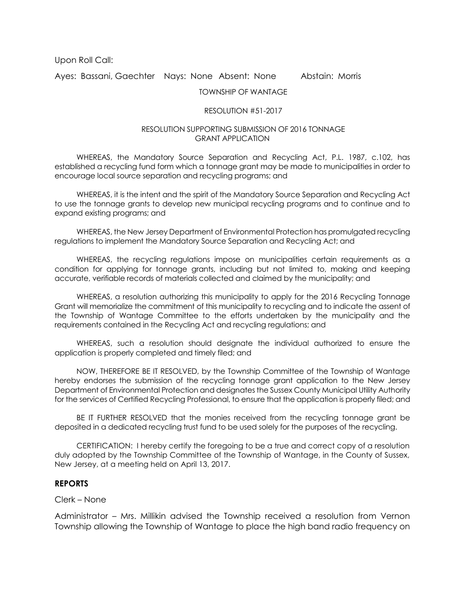Upon Roll Call:

Ayes: Bassani, Gaechter Nays: None Absent: None Abstain: Morris

TOWNSHIP OF WANTAGE

### RESOLUTION #51-2017

### RESOLUTION SUPPORTING SUBMISSION OF 2016 TONNAGE GRANT APPLICATION

WHEREAS, the Mandatory Source Separation and Recycling Act, P.L. 1987, c.102, has established a recycling fund form which a tonnage grant may be made to municipalities in order to encourage local source separation and recycling programs; and

WHEREAS, it is the intent and the spirit of the Mandatory Source Separation and Recycling Act to use the tonnage grants to develop new municipal recycling programs and to continue and to expand existing programs; and

WHEREAS, the New Jersey Department of Environmental Protection has promulgated recycling regulations to implement the Mandatory Source Separation and Recycling Act; and

WHEREAS, the recycling regulations impose on municipalities certain requirements as a condition for applying for tonnage grants, including but not limited to, making and keeping accurate, verifiable records of materials collected and claimed by the municipality; and

WHEREAS, a resolution authorizing this municipality to apply for the 2016 Recycling Tonnage Grant will memorialize the commitment of this municipality to recycling and to indicate the assent of the Township of Wantage Committee to the efforts undertaken by the municipality and the requirements contained in the Recycling Act and recycling regulations; and

WHEREAS, such a resolution should designate the individual authorized to ensure the application is properly completed and timely filed; and

NOW, THEREFORE BE IT RESOLVED, by the Township Committee of the Township of Wantage hereby endorses the submission of the recycling tonnage grant application to the New Jersey Department of Environmental Protection and designates the Sussex County Municipal Utility Authority for the services of Certified Recycling Professional, to ensure that the application is properly filed; and

BE IT FURTHER RESOLVED that the monies received from the recycling tonnage grant be deposited in a dedicated recycling trust fund to be used solely for the purposes of the recycling.

CERTIFICATION: I hereby certify the foregoing to be a true and correct copy of a resolution duly adopted by the Township Committee of the Township of Wantage, in the County of Sussex, New Jersey, at a meeting held on April 13, 2017.

### **REPORTS**

### Clerk – None

Administrator – Mrs. Millikin advised the Township received a resolution from Vernon Township allowing the Township of Wantage to place the high band radio frequency on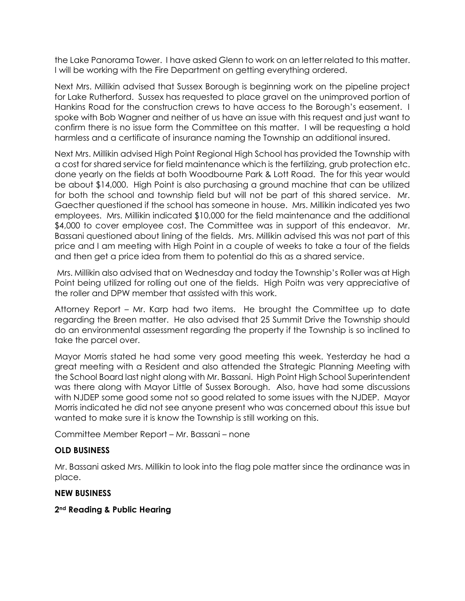the Lake Panorama Tower. I have asked Glenn to work on an letter related to this matter. I will be working with the Fire Department on getting everything ordered.

Next Mrs. Millikin advised that Sussex Borough is beginning work on the pipeline project for Lake Rutherford. Sussex has requested to place gravel on the unimproved portion of Hankins Road for the construction crews to have access to the Borough's easement. I spoke with Bob Wagner and neither of us have an issue with this request and just want to confirm there is no issue form the Committee on this matter. I will be requesting a hold harmless and a certificate of insurance naming the Township an additional insured.

Next Mrs. Millikin advised High Point Regional High School has provided the Township with a cost for shared service for field maintenance which is the fertilizing, grub protection etc. done yearly on the fields at both Woodbourne Park & Lott Road. The for this year would be about \$14,000. High Point is also purchasing a ground machine that can be utilized for both the school and township field but will not be part of this shared service. Mr. Gaecther questioned if the school has someone in house. Mrs. Millikin indicated yes two employees. Mrs. Millikin indicated \$10,000 for the field maintenance and the additional \$4,000 to cover employee cost. The Committee was in support of this endeavor. Mr. Bassani questioned about lining of the fields. Mrs. Millikin advised this was not part of this price and I am meeting with High Point in a couple of weeks to take a tour of the fields and then get a price idea from them to potential do this as a shared service.

Mrs. Millikin also advised that on Wednesday and today the Township's Roller was at High Point being utilized for rolling out one of the fields. High Poitn was very appreciative of the roller and DPW member that assisted with this work.

Attorney Report – Mr. Karp had two items. He brought the Committee up to date regarding the Breen matter. He also advised that 25 Summit Drive the Township should do an environmental assessment regarding the property if the Township is so inclined to take the parcel over.

Mayor Morris stated he had some very good meeting this week. Yesterday he had a great meeting with a Resident and also attended the Strategic Planning Meeting with the School Board last night along with Mr. Bassani. High Point High School Superintendent was there along with Mayor Little of Sussex Borough. Also, have had some discussions with NJDEP some good some not so good related to some issues with the NJDEP. Mayor Morris indicated he did not see anyone present who was concerned about this issue but wanted to make sure it is know the Township is still working on this.

Committee Member Report – Mr. Bassani – none

# **OLD BUSINESS**

Mr. Bassani asked Mrs. Millikin to look into the flag pole matter since the ordinance was in place.

## **NEW BUSINESS**

## **2nd Reading & Public Hearing**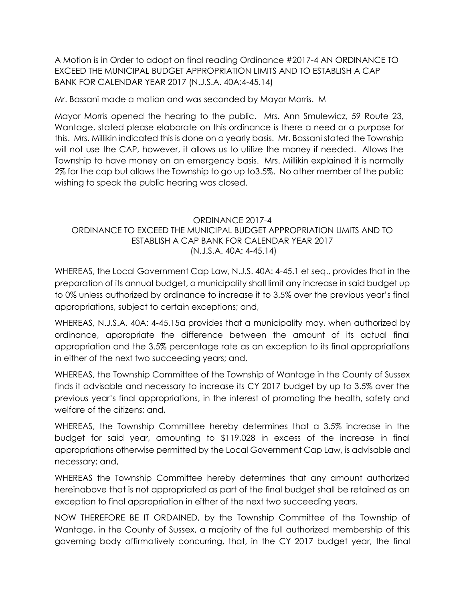A Motion is in Order to adopt on final reading Ordinance #2017-4 AN ORDINANCE TO EXCEED THE MUNICIPAL BUDGET APPROPRIATION LIMITS AND TO ESTABLISH A CAP BANK FOR CALENDAR YEAR 2017 (N.J.S.A. 40A:4-45.14)

Mr. Bassani made a motion and was seconded by Mayor Morris. M

Mayor Morris opened the hearing to the public. Mrs. Ann Smulewicz, 59 Route 23, Wantage, stated please elaborate on this ordinance is there a need or a purpose for this. Mrs. Millikin indicated this is done on a yearly basis. Mr. Bassani stated the Township will not use the CAP, however, it allows us to utilize the money if needed. Allows the Township to have money on an emergency basis. Mrs. Millikin explained it is normally 2% for the cap but allows the Township to go up to3.5%. No other member of the public wishing to speak the public hearing was closed.

# ORDINANCE 2017-4 ORDINANCE TO EXCEED THE MUNICIPAL BUDGET APPROPRIATION LIMITS AND TO ESTABLISH A CAP BANK FOR CALENDAR YEAR 2017 (N.J.S.A. 40A: 4-45.14)

WHEREAS, the Local Government Cap Law, N.J.S. 40A: 4-45.1 et seq., provides that in the preparation of its annual budget, a municipality shall limit any increase in said budget up to 0% unless authorized by ordinance to increase it to 3.5% over the previous year's final appropriations, subject to certain exceptions; and,

WHEREAS, N.J.S.A. 40A: 4-45.15a provides that a municipality may, when authorized by ordinance, appropriate the difference between the amount of its actual final appropriation and the 3.5% percentage rate as an exception to its final appropriations in either of the next two succeeding years; and,

WHEREAS, the Township Committee of the Township of Wantage in the County of Sussex finds it advisable and necessary to increase its CY 2017 budget by up to 3.5% over the previous year's final appropriations, in the interest of promoting the health, safety and welfare of the citizens; and,

WHEREAS, the Township Committee hereby determines that a 3.5% increase in the budget for said year, amounting to \$119,028 in excess of the increase in final appropriations otherwise permitted by the Local Government Cap Law, is advisable and necessary; and,

WHEREAS the Township Committee hereby determines that any amount authorized hereinabove that is not appropriated as part of the final budget shall be retained as an exception to final appropriation in either of the next two succeeding years.

NOW THEREFORE BE IT ORDAINED, by the Township Committee of the Township of Wantage, in the County of Sussex, a majority of the full authorized membership of this governing body affirmatively concurring, that, in the CY 2017 budget year, the final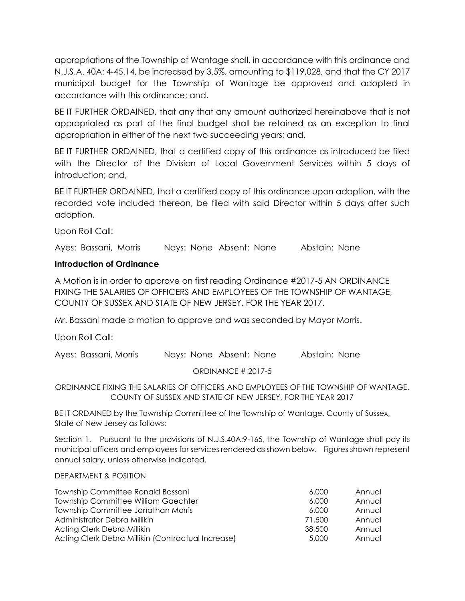appropriations of the Township of Wantage shall, in accordance with this ordinance and N.J.S.A. 40A: 4-45.14, be increased by 3.5%, amounting to \$119,028, and that the CY 2017 municipal budget for the Township of Wantage be approved and adopted in accordance with this ordinance; and,

BE IT FURTHER ORDAINED, that any that any amount authorized hereinabove that is not appropriated as part of the final budget shall be retained as an exception to final appropriation in either of the next two succeeding years; and,

BE IT FURTHER ORDAINED, that a certified copy of this ordinance as introduced be filed with the Director of the Division of Local Government Services within 5 days of introduction; and,

BE IT FURTHER ORDAINED, that a certified copy of this ordinance upon adoption, with the recorded vote included thereon, be filed with said Director within 5 days after such adoption.

Upon Roll Call:

Ayes: Bassani, Morris Nays: None Absent: None Abstain: None

# **Introduction of Ordinance**

A Motion is in order to approve on first reading Ordinance #2017-5 AN ORDINANCE FIXING THE SALARIES OF OFFICERS AND EMPLOYEES OF THE TOWNSHIP OF WANTAGE, COUNTY OF SUSSEX AND STATE OF NEW JERSEY, FOR THE YEAR 2017.

Mr. Bassani made a motion to approve and was seconded by Mayor Morris.

Upon Roll Call:

Ayes: Bassani, Morris Nays: None Absent: None Abstain: None

ORDINANCE # 2017-5

ORDINANCE FIXING THE SALARIES OF OFFICERS AND EMPLOYEES OF THE TOWNSHIP OF WANTAGE, COUNTY OF SUSSEX AND STATE OF NEW JERSEY, FOR THE YEAR 2017

BE IT ORDAINED by the Township Committee of the Township of Wantage, County of Sussex, State of New Jersey as follows:

Section 1. Pursuant to the provisions of N.J.S.40A:9-165, the Township of Wantage shall pay its municipal officers and employees for services rendered as shown below. Figures shown represent annual salary, unless otherwise indicated.

### DEPARTMENT & POSITION

| Township Committee Ronald Bassani                  | 6,000  | Annual |
|----------------------------------------------------|--------|--------|
| <b>Township Committee William Gaechter</b>         | 6,000  | Annual |
| Township Committee Jonathan Morris                 | 6,000  | Annual |
| Administrator Debra Millikin                       | 71,500 | Annual |
| Acting Clerk Debra Millikin                        | 38,500 | Annual |
| Acting Clerk Debra Millikin (Contractual Increase) | 5,000  | Annual |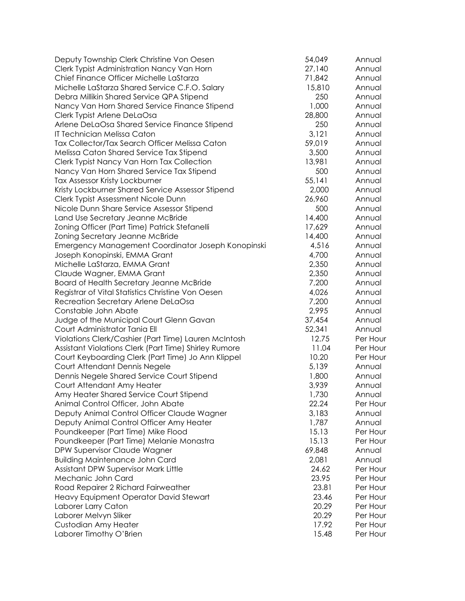| Deputy Township Clerk Christine Von Oesen             | 54,049 | Annual   |
|-------------------------------------------------------|--------|----------|
| Clerk Typist Administration Nancy Van Horn            | 27,140 | Annual   |
| Chief Finance Officer Michelle LaStarza               | 71,842 | Annual   |
| Michelle LaStarza Shared Service C.F.O. Salary        | 15,810 | Annual   |
| Debra Millikin Shared Service QPA Stipend             | 250    | Annual   |
| Nancy Van Horn Shared Service Finance Stipend         | 1,000  | Annual   |
| Clerk Typist Arlene DeLaOsa                           | 28,800 | Annual   |
| Arlene DeLaOsa Shared Service Finance Stipend         | 250    | Annual   |
| IT Technician Melissa Caton                           | 3,121  | Annual   |
| Tax Collector/Tax Search Officer Melissa Caton        | 59,019 | Annual   |
| Melissa Caton Shared Service Tax Stipend              | 3,500  | Annual   |
| Clerk Typist Nancy Van Horn Tax Collection            | 13,981 | Annual   |
| Nancy Van Horn Shared Service Tax Stipend             | 500    | Annual   |
| Tax Assessor Kristy Lockburner                        | 55,141 | Annual   |
| Kristy Lockburner Shared Service Assessor Stipend     | 2,000  | Annual   |
| Clerk Typist Assessment Nicole Dunn                   | 26,960 | Annual   |
| Nicole Dunn Share Service Assessor Stipend            | 500    | Annual   |
| Land Use Secretary Jeanne McBride                     | 14,400 | Annual   |
| Zoning Officer (Part Time) Patrick Stefanelli         | 17,629 | Annual   |
| Zoning Secretary Jeanne McBride                       | 14,400 | Annual   |
| Emergency Management Coordinator Joseph Konopinski    | 4,516  | Annual   |
| Joseph Konopinski, EMMA Grant                         | 4,700  | Annual   |
| Michelle LaStarza, EMMA Grant                         | 2,350  | Annual   |
| Claude Wagner, EMMA Grant                             | 2,350  | Annual   |
| Board of Health Secretary Jeanne McBride              | 7,200  | Annual   |
| Registrar of Vital Statistics Christine Von Oesen     | 4,026  | Annual   |
| Recreation Secretary Arlene DeLaOsa                   | 7,200  | Annual   |
| Constable John Abate                                  | 2,995  | Annual   |
| Judge of the Municipal Court Glenn Gavan              | 37,454 | Annual   |
| Court Administrator Tania Ell                         | 52,341 | Annual   |
| Violations Clerk/Cashier (Part Time) Lauren McIntosh  | 12.75  | Per Hour |
| Assistant Violations Clerk (Part Time) Shirley Rumore | 11.04  | Per Hour |
| Court Keyboarding Clerk (Part Time) Jo Ann Klippel    | 10.20  | Per Hour |
| Court Attendant Dennis Negele                         | 5,139  | Annual   |
| Dennis Negele Shared Service Court Stipend            | 1,800  | Annual   |
| Court Attendant Amy Heater                            | 3,939  | Annual   |
| Amy Heater Shared Service Court Stipend               | 1,730  | Annual   |
| Animal Control Officer, John Abate                    | 22.24  | Per Hour |
| Deputy Animal Control Officer Claude Wagner           | 3,183  | Annual   |
| Deputy Animal Control Officer Amy Heater              | 1,787  | Annual   |
| Poundkeeper (Part Time) Mike Flood                    | 15.13  | Per Hour |
| Poundkeeper (Part Time) Melanie Monastra              | 15.13  | Per Hour |
| DPW Supervisor Claude Wagner                          | 69,848 | Annual   |
| <b>Building Maintenance John Card</b>                 | 2,081  | Annual   |
| Assistant DPW Supervisor Mark Little                  | 24.62  | Per Hour |
| Mechanic John Card                                    | 23.95  | Per Hour |
| Road Repairer 2 Richard Fairweather                   | 23.81  | Per Hour |
| Heavy Equipment Operator David Stewart                | 23.46  | Per Hour |
| Laborer Larry Caton                                   | 20.29  | Per Hour |
| Laborer Melvyn Sliker                                 | 20.29  | Per Hour |
| Custodian Amy Heater                                  | 17.92  | Per Hour |
| Laborer Timothy O'Brien                               | 15.48  | Per Hour |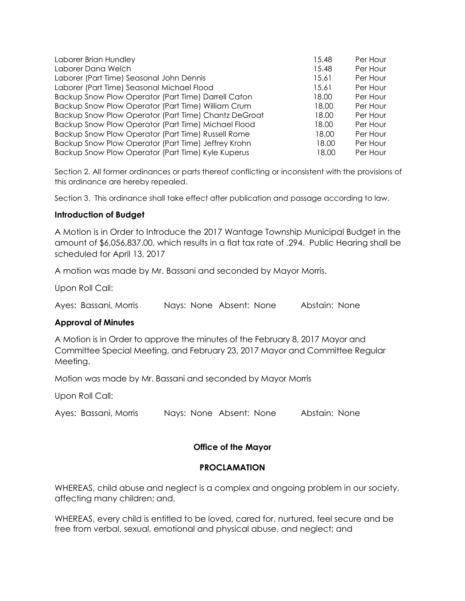| Laborer Brian Hundley                                | 15.48 | Per Hour |
|------------------------------------------------------|-------|----------|
| Laborer Dana Welch                                   | 15.48 | Per Hour |
| Laborer (Part Time) Seasonal John Dennis             | 15.61 | Per Hour |
| Laborer (Part Time) Seasonal Michael Flood           | 15.61 | Per Hour |
| Backup Snow Plow Operator (Part Time) Darrell Caton  | 18.00 | Per Hour |
| Backup Snow Plow Operator (Part Time) William Crum   | 18.00 | Per Hour |
| Backup Snow Plow Operator (Part Time) Chantz DeGroat | 18.00 | Per Hour |
| Backup Snow Plow Operator (Part Time) Michael Flood  | 18.00 | Per Hour |
| Backup Snow Plow Operator (Part Time) Russell Rome   | 18.00 | Per Hour |
| Backup Snow Plow Operator (Part Time) Jeffrey Krohn  | 18.00 | Per Hour |
| Backup Snow Plow Operator (Part Time) Kyle Kuperus   | 18.00 | Per Hour |

Section 2. All former ordinances or parts thereof conflicting or inconsistent with the provisions of this ordinance are hereby repealed.

Section 3. This ordinance shall take effect after publication and passage according to law.

## **Introduction of Budget**

A Motion is in Order to Introduce the 2017 Wantage Township Municipal Budget in the amount of \$6,056,837.00, which results in a flat tax rate of .294. Public Hearing shall be scheduled for April 13, 2017

A motion was made by Mr. Bassani and seconded by Mayor Morris.

Upon Roll Call:

Ayes: Bassani, Morris Nays: None Absent: None Abstain: None

## **Approval of Minutes**

A Motion is in Order to approve the minutes of the February 8, 2017 Mayor and Committee Special Meeting, and February 23, 2017 Mayor and Committee Regular Meeting.

Motion was made by Mr. Bassani and seconded by Mayor Morris

Upon Roll Call:

Ayes: Bassani, Morris Nays: None Absent: None Abstain: None

## **Office of the Mayor**

## **PROCLAMATION**

WHEREAS, child abuse and neglect is a complex and ongoing problem in our society, affecting many children; and,

WHEREAS, every child is entitled to be loved, cared for, nurtured, feel secure and be free from verbal, sexual, emotional and physical abuse, and neglect; and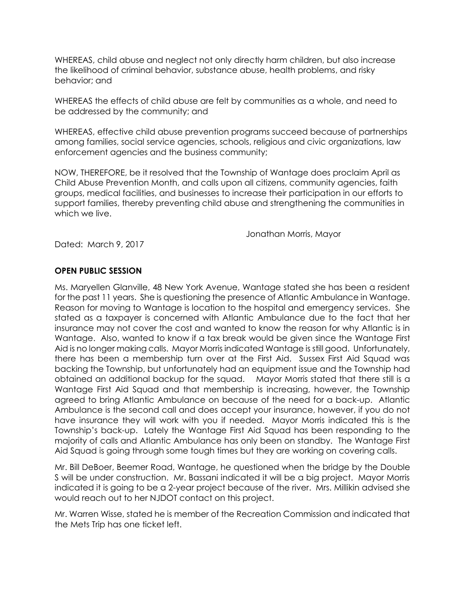WHEREAS, child abuse and neglect not only directly harm children, but also increase the likelihood of criminal behavior, substance abuse, health problems, and risky behavior; and

WHEREAS the effects of child abuse are felt by communities as a whole, and need to be addressed by the community; and

WHEREAS, effective child abuse prevention programs succeed because of partnerships among families, social service agencies, schools, religious and civic organizations, law enforcement agencies and the business community;

NOW, THEREFORE, be it resolved that the Township of Wantage does proclaim April as Child Abuse Prevention Month, and calls upon all citizens, community agencies, faith groups, medical facilities, and businesses to increase their participation in our efforts to support families, thereby preventing child abuse and strengthening the communities in which we live.

Jonathan Morris, Mayor

Dated: March 9, 2017

# **OPEN PUBLIC SESSION**

Ms. Maryellen Glanville, 48 New York Avenue, Wantage stated she has been a resident for the past 11 years. She is questioning the presence of Atlantic Ambulance in Wantage. Reason for moving to Wantage is location to the hospital and emergency services. She stated as a taxpayer is concerned with Atlantic Ambulance due to the fact that her insurance may not cover the cost and wanted to know the reason for why Atlantic is in Wantage. Also, wanted to know if a tax break would be given since the Wantage First Aid is no longer making calls. Mayor Morris indicated Wantage is still good. Unfortunately, there has been a membership turn over at the First Aid. Sussex First Aid Squad was backing the Township, but unfortunately had an equipment issue and the Township had obtained an additional backup for the squad. Mayor Morris stated that there still is a Wantage First Aid Squad and that membership is increasing, however, the Township agreed to bring Atlantic Ambulance on because of the need for a back-up. Atlantic Ambulance is the second call and does accept your insurance, however, if you do not have insurance they will work with you if needed. Mayor Morris indicated this is the Township's back-up. Lately the Wantage First Aid Squad has been responding to the majority of calls and Atlantic Ambulance has only been on standby. The Wantage First Aid Squad is going through some tough times but they are working on covering calls.

Mr. Bill DeBoer, Beemer Road, Wantage, he questioned when the bridge by the Double S will be under construction. Mr. Bassani indicated it will be a big project. Mayor Morris indicated it is going to be a 2-year project because of the river. Mrs. Millikin advised she would reach out to her NJDOT contact on this project.

Mr. Warren Wisse, stated he is member of the Recreation Commission and indicated that the Mets Trip has one ticket left.